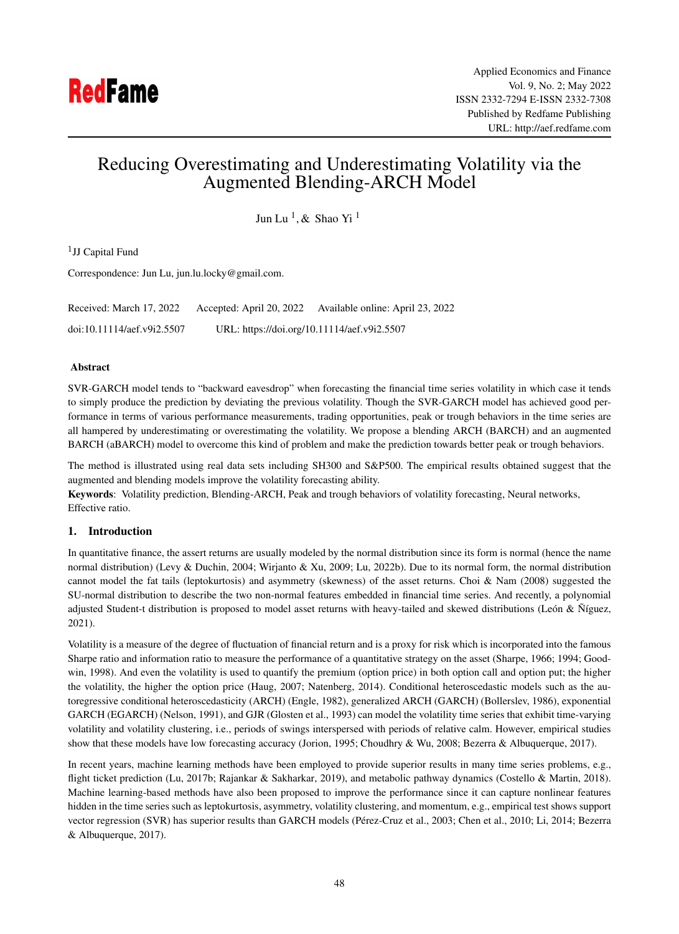# Reducing Overestimating and Underestimating Volatility via the Augmented Blending-ARCH Model

Jun Lu <sup>1</sup>, & Shao Yi <sup>1</sup>

<sup>1</sup>JJ Capital Fund

Correspondence: Jun Lu, jun.lu.locky@gmail.com.

Received: March 17, 2022 Accepted: April 20, 2022 Available online: April 23, 2022 doi:10.11114/aef.v9i2.5507 URL: https://doi.org/10.11114/aef.v9i2.5507

# Abstract

SVR-GARCH model tends to "backward eavesdrop" when forecasting the financial time series volatility in which case it tends to simply produce the prediction by deviating the previous volatility. Though the SVR-GARCH model has achieved good performance in terms of various performance measurements, trading opportunities, peak or trough behaviors in the time series are all hampered by underestimating or overestimating the volatility. We propose a blending ARCH (BARCH) and an augmented BARCH (aBARCH) model to overcome this kind of problem and make the prediction towards better peak or trough behaviors.

The method is illustrated using real data sets including SH300 and S&P500. The empirical results obtained suggest that the augmented and blending models improve the volatility forecasting ability.

Keywords: Volatility prediction, Blending-ARCH, Peak and trough behaviors of volatility forecasting, Neural networks, Effective ratio.

# 1. Introduction

In quantitative finance, the assert returns are usually modeled by the normal distribution since its form is normal (hence the name normal distribution) (Levy & Duchin, 2004; Wirjanto & Xu, 2009; Lu, 2022b). Due to its normal form, the normal distribution cannot model the fat tails (leptokurtosis) and asymmetry (skewness) of the asset returns. Choi & Nam (2008) suggested the SU-normal distribution to describe the two non-normal features embedded in financial time series. And recently, a polynomial adjusted Student-t distribution is proposed to model asset returns with heavy-tailed and skewed distributions (León & Níguez, 2021).

Volatility is a measure of the degree of fluctuation of financial return and is a proxy for risk which is incorporated into the famous Sharpe ratio and information ratio to measure the performance of a quantitative strategy on the asset (Sharpe, 1966; 1994; Goodwin, 1998). And even the volatility is used to quantify the premium (option price) in both option call and option put; the higher the volatility, the higher the option price (Haug, 2007; Natenberg, 2014). Conditional heteroscedastic models such as the autoregressive conditional heteroscedasticity (ARCH) (Engle, 1982), generalized ARCH (GARCH) (Bollerslev, 1986), exponential GARCH (EGARCH) (Nelson, 1991), and GJR (Glosten et al., 1993) can model the volatility time series that exhibit time-varying volatility and volatility clustering, i.e., periods of swings interspersed with periods of relative calm. However, empirical studies show that these models have low forecasting accuracy (Jorion, 1995; Choudhry & Wu, 2008; Bezerra & Albuquerque, 2017).

In recent years, machine learning methods have been employed to provide superior results in many time series problems, e.g., flight ticket prediction (Lu, 2017b; Rajankar & Sakharkar, 2019), and metabolic pathway dynamics (Costello & Martin, 2018). Machine learning-based methods have also been proposed to improve the performance since it can capture nonlinear features hidden in the time series such as leptokurtosis, asymmetry, volatility clustering, and momentum, e.g., empirical test shows support vector regression (SVR) has superior results than GARCH models (Pérez-Cruz et al., 2003; Chen et al., 2010; Li, 2014; Bezerra & Albuquerque, 2017).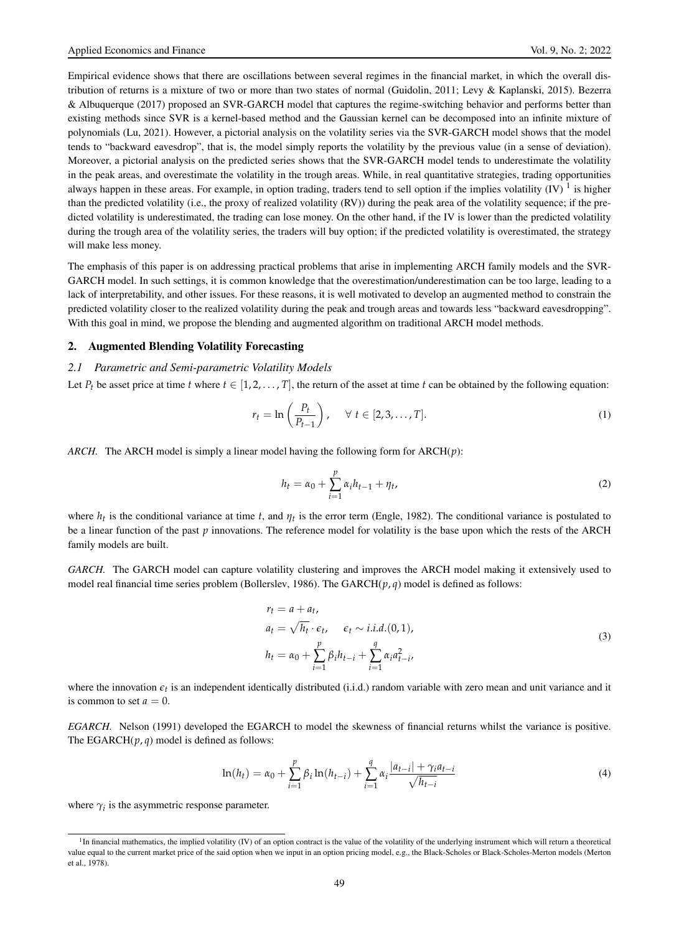Empirical evidence shows that there are oscillations between several regimes in the financial market, in which the overall distribution of returns is a mixture of two or more than two states of normal (Guidolin, 2011; Levy & Kaplanski, 2015). Bezerra & Albuquerque (2017) proposed an SVR-GARCH model that captures the regime-switching behavior and performs better than existing methods since SVR is a kernel-based method and the Gaussian kernel can be decomposed into an infinite mixture of polynomials (Lu, 2021). However, a pictorial analysis on the volatility series via the SVR-GARCH model shows that the model tends to "backward eavesdrop", that is, the model simply reports the volatility by the previous value (in a sense of deviation). Moreover, a pictorial analysis on the predicted series shows that the SVR-GARCH model tends to underestimate the volatility in the peak areas, and overestimate the volatility in the trough areas. While, in real quantitative strategies, trading opportunities always happen in these areas. For example, in option trading, traders tend to sell option if the implies volatility  $(V)$ <sup>1</sup> is higher than the predicted volatility (i.e., the proxy of realized volatility (RV)) during the peak area of the volatility sequence; if the predicted volatility is underestimated, the trading can lose money. On the other hand, if the IV is lower than the predicted volatility during the trough area of the volatility series, the traders will buy option; if the predicted volatility is overestimated, the strategy will make less money.

The emphasis of this paper is on addressing practical problems that arise in implementing ARCH family models and the SVR-GARCH model. In such settings, it is common knowledge that the overestimation/underestimation can be too large, leading to a lack of interpretability, and other issues. For these reasons, it is well motivated to develop an augmented method to constrain the predicted volatility closer to the realized volatility during the peak and trough areas and towards less "backward eavesdropping". With this goal in mind, we propose the blending and augmented algorithm on traditional ARCH model methods.

## 2. Augmented Blending Volatility Forecasting

# *2.1 Parametric and Semi-parametric Volatility Models*

Let  $P_t$  be asset price at time *t* where  $t \in [1, 2, \ldots, T]$ , the return of the asset at time *t* can be obtained by the following equation:

$$
r_t = \ln\left(\frac{P_t}{P_{t-1}}\right), \quad \forall \ t \in [2, 3, \dots, T]. \tag{1}
$$

*ARCH.* The ARCH model is simply a linear model having the following form for ARCH(*p*):

$$
h_t = \alpha_0 + \sum_{i=1}^p \alpha_i h_{t-1} + \eta_t,
$$
\n(2)

where  $h_t$  is the conditional variance at time  $t$ , and  $\eta_t$  is the error term (Engle, 1982). The conditional variance is postulated to be a linear function of the past *p* innovations. The reference model for volatility is the base upon which the rests of the ARCH family models are built.

*GARCH.* The GARCH model can capture volatility clustering and improves the ARCH model making it extensively used to model real financial time series problem (Bollerslev, 1986). The GARCH( $p, q$ ) model is defined as follows:

$$
r_t = a + a_t,
$$
  
\n
$$
a_t = \sqrt{h_t} \cdot \epsilon_t, \quad \epsilon_t \sim i.i.d. (0, 1),
$$
  
\n
$$
h_t = \alpha_0 + \sum_{i=1}^p \beta_i h_{t-i} + \sum_{i=1}^q \alpha_i a_{t-i}^2,
$$
\n(3)

where the innovation  $\epsilon_t$  is an independent identically distributed (i.i.d.) random variable with zero mean and unit variance and it is common to set  $a = 0$ .

*EGARCH.* Nelson (1991) developed the EGARCH to model the skewness of financial returns whilst the variance is positive. The EGARCH $(p, q)$  model is defined as follows:

$$
\ln(h_t) = \alpha_0 + \sum_{i=1}^p \beta_i \ln(h_{t-i}) + \sum_{i=1}^q \alpha_i \frac{|a_{t-i}| + \gamma_i a_{t-i}}{\sqrt{h_{t-i}}}
$$
(4)

where  $\gamma_i$  is the asymmetric response parameter.

<sup>&</sup>lt;sup>1</sup>In financial mathematics, the implied volatility (IV) of an option contract is the value of the volatility of the underlying instrument which will return a theoretical value equal to the current market price of the said option when we input in an option pricing model, e.g., the Black-Scholes or Black-Scholes-Merton models (Merton et al., 1978).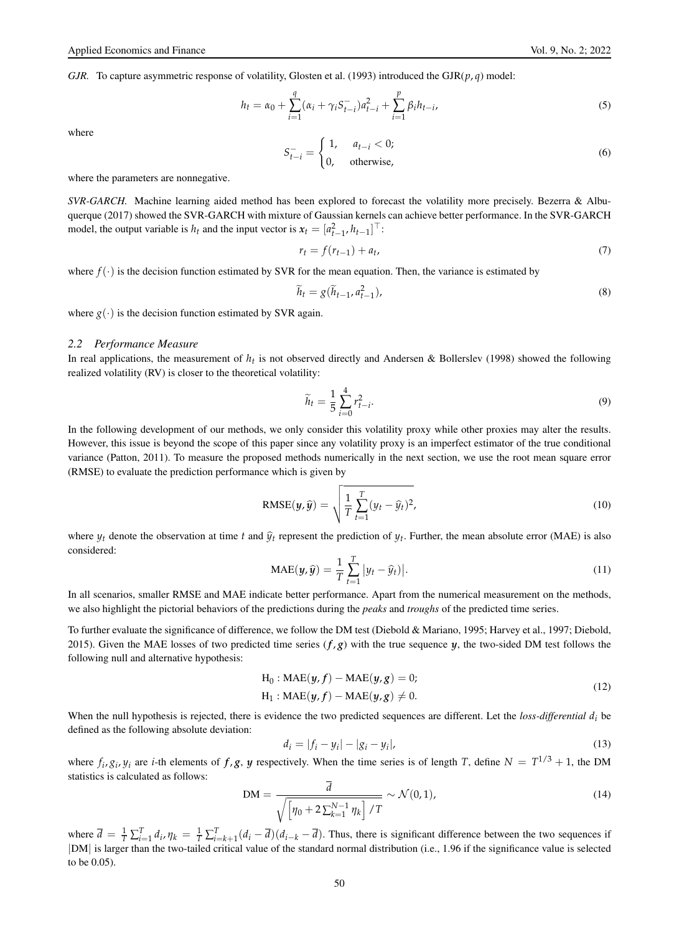*GJR.* To capture asymmetric response of volatility, Glosten et al. (1993) introduced the  $GJR(p,q)$  model:

$$
h_t = \alpha_0 + \sum_{i=1}^q (\alpha_i + \gamma_i S_{t-i}^-) a_{t-i}^2 + \sum_{i=1}^p \beta_i h_{t-i},
$$
\n(5)

where

$$
S_{t-i}^- = \begin{cases} 1, & a_{t-i} < 0; \\ 0, & \text{otherwise,} \end{cases} \tag{6}
$$

where the parameters are nonnegative.

*SVR-GARCH.* Machine learning aided method has been explored to forecast the volatility more precisely. Bezerra & Albuquerque (2017) showed the SVR-GARCH with mixture of Gaussian kernels can achieve better performance. In the SVR-GARCH model, the output variable is  $h_t$  and the input vector is  $x_t = [a_{t-1}^2, h_{t-1}]^\top$ :

$$
r_t = f(r_{t-1}) + a_t,
$$
\n(7)

where  $f(\cdot)$  is the decision function estimated by SVR for the mean equation. Then, the variance is estimated by

$$
\widetilde{h}_t = g(\widetilde{h}_{t-1}, a_{t-1}^2),\tag{8}
$$

where  $g(\cdot)$  is the decision function estimated by SVR again.

#### *2.2 Performance Measure*

In real applications, the measurement of  $h_t$  is not observed directly and Andersen & Bollerslev (1998) showed the following realized volatility (RV) is closer to the theoretical volatility:

$$
\widetilde{h}_t = \frac{1}{5} \sum_{i=0}^{4} r_{t-i}^2.
$$
\n(9)

In the following development of our methods, we only consider this volatility proxy while other proxies may alter the results. However, this issue is beyond the scope of this paper since any volatility proxy is an imperfect estimator of the true conditional variance (Patton, 2011). To measure the proposed methods numerically in the next section, we use the root mean square error (RMSE) to evaluate the prediction performance which is given by

RMSE
$$
(y, \hat{y}) = \sqrt{\frac{1}{T} \sum_{t=1}^{T} (y_t - \hat{y}_t)^2},
$$
 (10)

where  $y_t$  denote the observation at time *t* and  $\hat{y}_t$  represent the prediction of  $y_t$ . Further, the mean absolute error (MAE) is also considered:

$$
\text{MAE}(y,\hat{y}) = \frac{1}{T} \sum_{t=1}^{T} |y_t - \hat{y}_t|.
$$
\n(11)

In all scenarios, smaller RMSE and MAE indicate better performance. Apart from the numerical measurement on the methods, we also highlight the pictorial behaviors of the predictions during the *peaks* and *troughs* of the predicted time series.

To further evaluate the significance of difference, we follow the DM test (Diebold & Mariano, 1995; Harvey et al., 1997; Diebold, 2015). Given the MAE losses of two predicted time series  $(f, g)$  with the true sequence  $y$ , the two-sided DM test follows the following null and alternative hypothesis:

$$
H_0: MAE(y, f) - MAE(y, g) = 0;
$$
  
\n
$$
H_1: MAE(y, f) - MAE(y, g) \neq 0.
$$
\n(12)

When the null hypothesis is rejected, there is evidence the two predicted sequences are different. Let the *loss-differential d<sup>i</sup>* be defined as the following absolute deviation:

$$
d_i = |f_i - y_i| - |g_i - y_i|,\tag{13}
$$

where  $f_i$ ,  $g_i$ ,  $y_i$  are *i*-th elements of  $f$ ,  $g$ ,  $y$  respectively. When the time series is of length *T*, define  $N = T^{1/3} + 1$ , the DM statistics is calculated as follows:

$$
DM = \frac{d}{\sqrt{\left[\eta_0 + 2\sum_{k=1}^{N-1} \eta_k\right] / T}} \sim \mathcal{N}(0, 1),\tag{14}
$$

where  $\overline{d} = \frac{1}{T} \sum_{i=1}^{T} d_i$ ,  $\eta_k = \frac{1}{T} \sum_{i=k+1}^{T} (d_i - \overline{d}) (d_{i-k} - \overline{d})$ . Thus, there is significant difference between the two sequences if |DM| is larger than the two-tailed critical value of the standard normal distribution (i.e., 1.96 if the significance value is selected to be 0.05).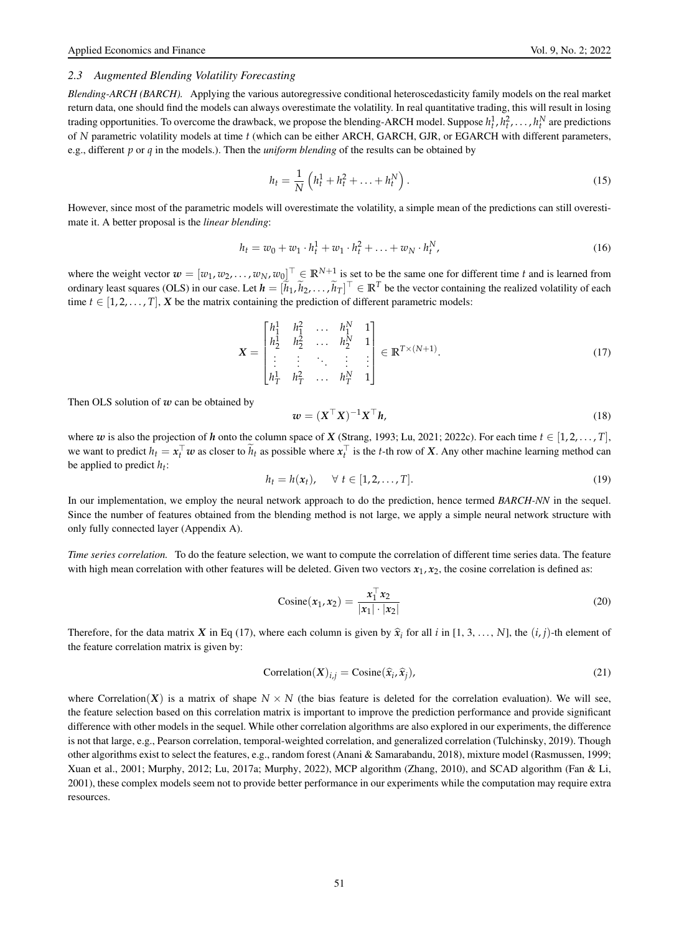# *2.3 Augmented Blending Volatility Forecasting*

*Blending-ARCH (BARCH).* Applying the various autoregressive conditional heteroscedasticity family models on the real market return data, one should find the models can always overestimate the volatility. In real quantitative trading, this will result in losing trading opportunities. To overcome the drawback, we propose the blending-ARCH model. Suppose  $h_t^1, h_t^2, \ldots, h_t^N$  are predictions of *N* parametric volatility models at time *t* (which can be either ARCH, GARCH, GJR, or EGARCH with different parameters, e.g., different *p* or *q* in the models.). Then the *uniform blending* of the results can be obtained by

$$
h_t = \frac{1}{N} \left( h_t^1 + h_t^2 + \dots + h_t^N \right).
$$
 (15)

However, since most of the parametric models will overestimate the volatility, a simple mean of the predictions can still overestimate it. A better proposal is the *linear blending*:

$$
h_t = w_0 + w_1 \cdot h_t^1 + w_1 \cdot h_t^2 + \ldots + w_N \cdot h_t^N,
$$
\n(16)

where the weight vector  $w = [w_1, w_2, \dots, w_N, w_0]^\top \in \mathbb{R}^{N+1}$  is set to be the same one for different time *t* and is learned from ordinary least squares (OLS) in our case. Let  $h = [\tilde{h}_1, \tilde{h}_2, \dots, \tilde{h}_T]^\top \in \mathbb{R}^T$  be the vector containing the realized volatility of each time  $t \in [1, 2, \ldots, T]$ , *X* be the matrix containing the prediction of different parametric models:

$$
\mathbf{X} = \begin{bmatrix} h_1^1 & h_1^2 & \dots & h_1^N & 1 \\ h_2^1 & h_2^2 & \dots & h_2^N & 1 \\ \vdots & \vdots & \ddots & \vdots & \vdots \\ h_T^1 & h_T^2 & \dots & h_T^N & 1 \end{bmatrix} \in \mathbb{R}^{T \times (N+1)}.
$$
 (17)

Then OLS solution of *w* can be obtained by

$$
\mathbf{w} = (\mathbf{X}^\top \mathbf{X})^{-1} \mathbf{X}^\top \mathbf{h},\tag{18}
$$

where *w* is also the projection of *h* onto the column space of *X* (Strang, 1993; Lu, 2021; 2022c). For each time  $t \in [1, 2, \ldots, T]$ , we want to predict  $h_t = x_t^\top w$  as closer to  $\tilde{h}_t$  as possible where  $x_t^\top$  is the *t*-th row of *X*. Any other machine learning method can be applied to predict *h<sup>t</sup>* :

$$
h_t = h(x_t), \quad \forall \ t \in [1, 2, \dots, T]. \tag{19}
$$

In our implementation, we employ the neural network approach to do the prediction, hence termed *BARCH-NN* in the sequel. Since the number of features obtained from the blending method is not large, we apply a simple neural network structure with only fully connected layer (Appendix A).

*Time series correlation.* To do the feature selection, we want to compute the correlation of different time series data. The feature with high mean correlation with other features will be deleted. Given two vectors  $x_1, x_2$ , the cosine correlation is defined as:

$$
Cosine(x_1, x_2) = \frac{x_1^{\top} x_2}{|x_1| \cdot |x_2|}
$$
\n(20)

Therefore, for the data matrix *X* in Eq (17), where each column is given by  $\hat{x}_i$  for all *i* in [1, 3, ..., *N*], the  $(i, j)$ -th element of the feature correlation matrix is given by:

$$
Correlation(X)_{i,j} = Cosine(\hat{x}_i, \hat{x}_j),
$$
\n(21)

where Correlation(*X*) is a matrix of shape  $N \times N$  (the bias feature is deleted for the correlation evaluation). We will see, the feature selection based on this correlation matrix is important to improve the prediction performance and provide significant difference with other models in the sequel. While other correlation algorithms are also explored in our experiments, the difference is not that large, e.g., Pearson correlation, temporal-weighted correlation, and generalized correlation (Tulchinsky, 2019). Though other algorithms exist to select the features, e.g., random forest (Anani & Samarabandu, 2018), mixture model (Rasmussen, 1999; Xuan et al., 2001; Murphy, 2012; Lu, 2017a; Murphy, 2022), MCP algorithm (Zhang, 2010), and SCAD algorithm (Fan & Li, 2001), these complex models seem not to provide better performance in our experiments while the computation may require extra resources.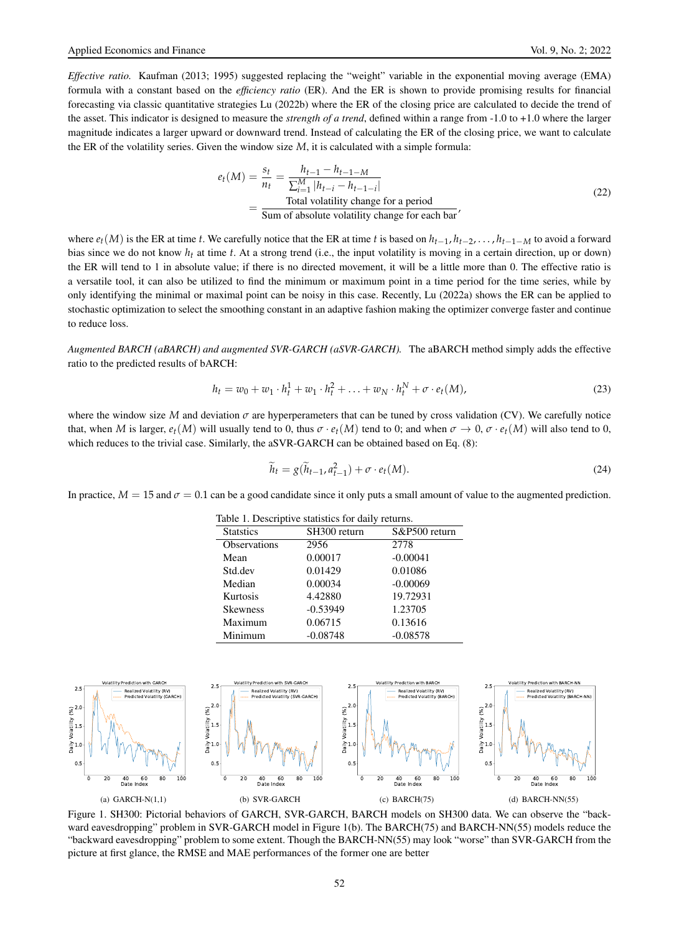*Effective ratio.* Kaufman (2013; 1995) suggested replacing the "weight" variable in the exponential moving average (EMA) formula with a constant based on the *efficiency ratio* (ER). And the ER is shown to provide promising results for financial forecasting via classic quantitative strategies Lu (2022b) where the ER of the closing price are calculated to decide the trend of the asset. This indicator is designed to measure the *strength of a trend*, defined within a range from -1.0 to +1.0 where the larger magnitude indicates a larger upward or downward trend. Instead of calculating the ER of the closing price, we want to calculate the ER of the volatility series. Given the window size *M*, it is calculated with a simple formula:

$$
e_t(M) = \frac{s_t}{n_t} = \frac{h_{t-1} - h_{t-1-M}}{\sum_{i=1}^{M} |h_{t-i} - h_{t-1-i}|}
$$
  
= 
$$
\frac{\text{Total volatility change for a period}}{\text{Sum of absolute volatility change for each bar'}}
$$
 (22)

where *et*(*M*) is the ER at time *t*. We carefully notice that the ER at time *t* is based on *ht*−<sup>1</sup> , *ht*−2, . . . , *ht*−1−*<sup>M</sup>* to avoid a forward bias since we do not know *h<sup>t</sup>* at time *t*. At a strong trend (i.e., the input volatility is moving in a certain direction, up or down) the ER will tend to 1 in absolute value; if there is no directed movement, it will be a little more than 0. The effective ratio is a versatile tool, it can also be utilized to find the minimum or maximum point in a time period for the time series, while by only identifying the minimal or maximal point can be noisy in this case. Recently, Lu (2022a) shows the ER can be applied to stochastic optimization to select the smoothing constant in an adaptive fashion making the optimizer converge faster and continue to reduce loss.

*Augmented BARCH (aBARCH) and augmented SVR-GARCH (aSVR-GARCH).* The aBARCH method simply adds the effective ratio to the predicted results of bARCH:

$$
h_t = w_0 + w_1 \cdot h_t^1 + w_1 \cdot h_t^2 + \ldots + w_N \cdot h_t^N + \sigma \cdot e_t(M), \tag{23}
$$

where the window size *M* and deviation  $\sigma$  are hyperperameters that can be tuned by cross validation (CV). We carefully notice that, when *M* is larger,  $e_t(M)$  will usually tend to 0, thus  $\sigma \cdot e_t(M)$  tend to 0; and when  $\sigma \to 0$ ,  $\sigma \cdot e_t(M)$  will also tend to 0, which reduces to the trivial case. Similarly, the aSVR-GARCH can be obtained based on Eq. (8):

$$
\widetilde{h}_t = g(\widetilde{h}_{t-1}, a_{t-1}^2) + \sigma \cdot e_t(M). \tag{24}
$$

In practice,  $M = 15$  and  $\sigma = 0.1$  can be a good candidate since it only puts a small amount of value to the augmented prediction.

 $T$  Table 1. Descriptive statistics for data statistics for data statistics for data statistics for data statistics for data statistics for data statistics for data statistics for data statistics for data statistics for d

| rable 1. Descriptive statistics for daily returns. |               |  |  |
|----------------------------------------------------|---------------|--|--|
| SH300 return                                       | S&P500 return |  |  |
| 2956                                               | 2778          |  |  |
| 0.00017                                            | $-0.00041$    |  |  |
| 0.01429                                            | 0.01086       |  |  |
| 0.00034                                            | $-0.00069$    |  |  |
| 4.42880                                            | 19.72931      |  |  |
| $-0.53949$                                         | 1.23705       |  |  |
| 0.06715                                            | 0.13616       |  |  |
| $-0.08748$                                         | $-0.08578$    |  |  |
|                                                    |               |  |  |



Figure 1. SH300: Pictorial behaviors of GARCH, SVR-GARCH, BARCH models on SH300 data. We can observe the "backward eavesdropping" problem in SVR-GARCH model in Figure 1(b). The BARCH(75) and BARCH-NN(55) models reduce the "backward eavesdropping" problem to some extent. Though the BARCH-NN(55) may look "worse" than SVR-GARCH from the picture at first glance, the RMSE and MAE performances of the former one are better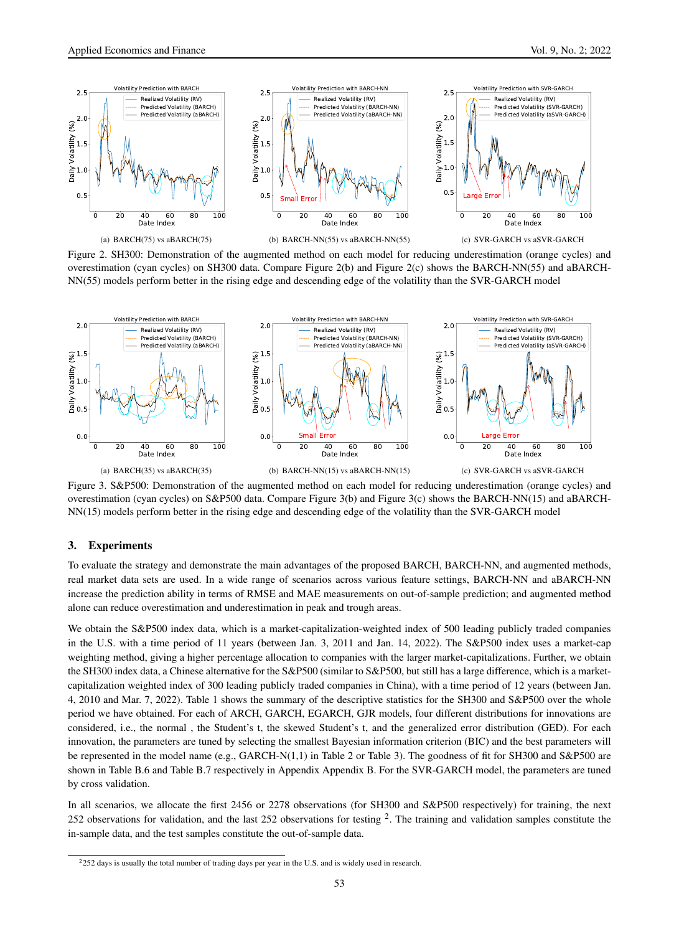

Figure 2. SH300: Demonstration of the augmented method on each model for reducing underestimation (orange cycles) and overestimation (cyan cycles) on SH300 data. Compare Figure 2(b) and Figure 2(c) shows the BARCH-NN(55) and aBARCH-NN(55) models perform better in the rising edge and descending edge of the volatility than the SVR-GARCH model



Figure 3. S&P500: Demonstration of the augmented method on each model for reducing underestimation (orange cycles) and overestimation (cyan cycles) on S&P500 data. Compare Figure 3(b) and Figure 3(c) shows the BARCH-NN(15) and aBARCH-NN(15) models perform better in the rising edge and descending edge of the volatility than the SVR-GARCH model

# 3. Experiments

To evaluate the strategy and demonstrate the main advantages of the proposed BARCH, BARCH-NN, and augmented methods, real market data sets are used. In a wide range of scenarios across various feature settings, BARCH-NN and aBARCH-NN increase the prediction ability in terms of RMSE and MAE measurements on out-of-sample prediction; and augmented method alone can reduce overestimation and underestimation in peak and trough areas.

We obtain the S&P500 index data, which is a market-capitalization-weighted index of 500 leading publicly traded companies in the U.S. with a time period of 11 years (between Jan. 3, 2011 and Jan. 14, 2022). The S&P500 index uses a market-cap weighting method, giving a higher percentage allocation to companies with the larger market-capitalizations. Further, we obtain the SH300 index data, a Chinese alternative for the S&P500 (similar to S&P500, but still has a large difference, which is a marketcapitalization weighted index of 300 leading publicly traded companies in China), with a time period of 12 years (between Jan. 4, 2010 and Mar. 7, 2022). Table 1 shows the summary of the descriptive statistics for the SH300 and S&P500 over the whole period we have obtained. For each of ARCH, GARCH, EGARCH, GJR models, four different distributions for innovations are considered, i.e., the normal , the Student's t, the skewed Student's t, and the generalized error distribution (GED). For each innovation, the parameters are tuned by selecting the smallest Bayesian information criterion (BIC) and the best parameters will be represented in the model name (e.g., GARCH-N(1,1) in Table 2 or Table 3). The goodness of fit for SH300 and S&P500 are shown in Table B.6 and Table B.7 respectively in Appendix Appendix B. For the SVR-GARCH model, the parameters are tuned by cross validation.

In all scenarios, we allocate the first 2456 or 2278 observations (for SH300 and S&P500 respectively) for training, the next 252 observations for validation, and the last 252 observations for testing  $2$ . The training and validation samples constitute the in-sample data, and the test samples constitute the out-of-sample data.

<sup>&</sup>lt;sup>2</sup>252 days is usually the total number of trading days per year in the U.S. and is widely used in research.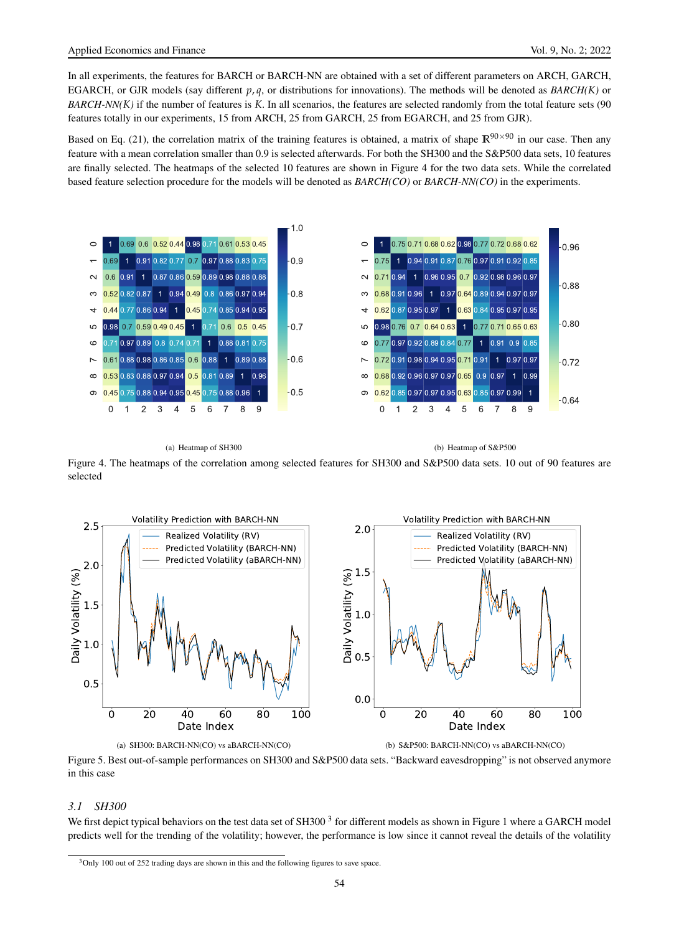In all experiments, the features for BARCH or BARCH-NN are obtained with a set of different parameters on ARCH, GARCH, EGARCH, or GJR models (say different  $p, q$ , or distributions for innovations). The methods will be denoted as  $BARCH(K)$  or *BARCH-NN(K)* if the number of features is *K*. In all scenarios, the features are selected randomly from the total feature sets (90 features totally in our experiments, 15 from ARCH, 25 from GARCH, 25 from EGARCH, and 25 from GJR).

Based on Eq. (21), the correlation matrix of the training features is obtained, a matrix of shape  $\mathbb{R}^{90\times90}$  in our case. Then any feature with a mean correlation smaller than 0.9 is selected afterwards. For both the SH300 and the S&P500 data sets, 10 features are finally selected. The heatmaps of the selected 10 features are shown in Figure 4 for the two data sets. While the correlated based feature selection procedure for the models will be denoted as *BARCH(CO)* or *BARCH-NN(CO)* in the experiments.



#### (a) Heatmap of SH300

(b) Heatmap of S&P500

Figure 4. The heatmaps of the correlation among selected features for SH300 and S&P500 data sets. 10 out of 90 features are selected



(a) SH300: BARCH-NN(CO) vs aBARCH-NN(CO) (b) S&P500: BARCH-NN(CO) vs aBARCH-NN(CO)

Figure 5. Best out-of-sample performances on SH300 and S&P500 data sets. "Backward eavesdropping" is not observed anymore in this case

### *3.1 SH300*

We first depict typical behaviors on the test data set of SH300  $3$  for different models as shown in Figure 1 where a GARCH model predicts well for the trending of the volatility; however, the performance is low since it cannot reveal the details of the volatility

<sup>&</sup>lt;sup>3</sup>Only 100 out of 252 trading days are shown in this and the following figures to save space.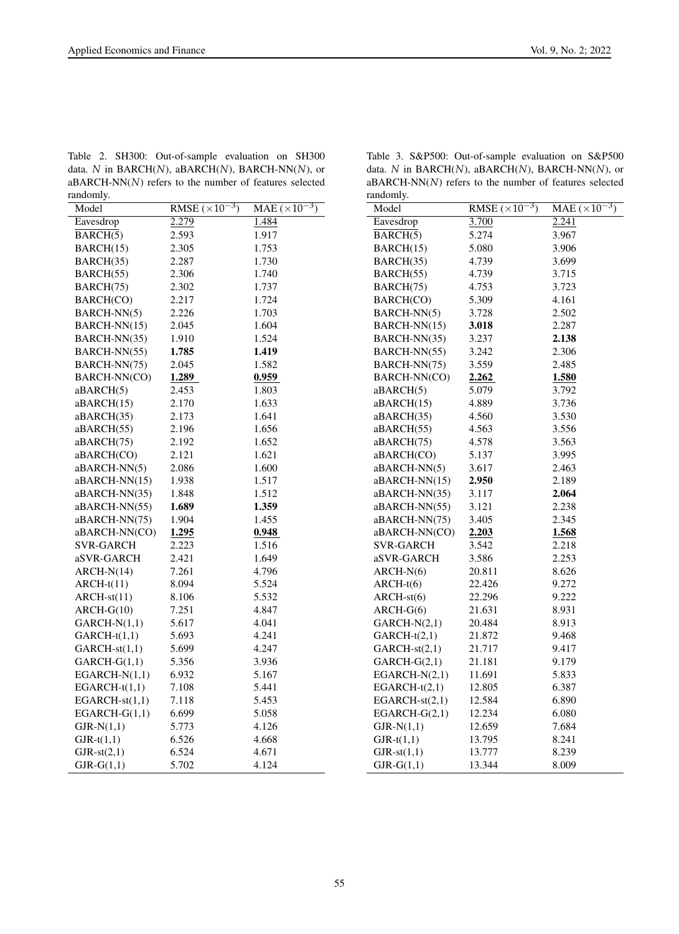Table 2. SH300: Out-of-sample evaluation on SH300 data. *N* in BARCH(*N*), aBARCH(*N*), BARCH-NN(*N*), or aBARCH-NN(*N*) refers to the number of features selected randomly.

| Model            | RMSE $(\times 10^{-3})$ | MAE $(\times 10^{-3})$ |
|------------------|-------------------------|------------------------|
| Eavesdrop        | 2.279                   | 1.484                  |
| BARCH(5)         | 2.593                   | 1.917                  |
| BARCH(15)        | 2.305                   | 1.753                  |
| BARCH(35)        | 2.287                   | 1.730                  |
| BARCH(55)        | 2.306                   | 1.740                  |
| BARCH(75)        | 2.302                   | 1.737                  |
| BARCH(CO)        | 2.217                   | 1.724                  |
| BARCH-NN(5)      | 2.226                   | 1.703                  |
| BARCH-NN(15)     | 2.045                   | 1.604                  |
| BARCH-NN(35)     | 1.910                   | 1.524                  |
| BARCH-NN(55)     | 1.785                   | 1.419                  |
| BARCH-NN(75)     | 2.045                   | 1.582                  |
| BARCH-NN(CO)     | 1.289                   | 0.959                  |
| aBARCH(5)        | 2.453                   | 1.803                  |
| aBARCH(15)       | 2.170                   | 1.633                  |
| aBARCH(35)       | 2.173                   | 1.641                  |
| aBARCH(55)       | 2.196                   | 1.656                  |
| aBARCH(75)       | 2.192                   | 1.652                  |
| aBARCH(CO)       | 2.121                   | 1.621                  |
| aBARCH-NN(5)     | 2.086                   | 1.600                  |
| aBARCH-NN(15)    | 1.938                   | 1.517                  |
| aBARCH-NN(35)    | 1.848                   | 1.512                  |
| aBARCH-NN(55)    | 1.689                   | 1.359                  |
| aBARCH-NN(75)    | 1.904                   | 1.455                  |
| aBARCH-NN(CO)    | 1.295                   | 0.948                  |
| SVR-GARCH        | 2.223                   | 1.516                  |
| aSVR-GARCH       | 2.421                   | 1.649                  |
| $ARCH-N(14)$     | 7.261                   | 4.796                  |
| $ARCH-t(11)$     | 8.094                   | 5.524                  |
| $ARCH-st(11)$    | 8.106                   | 5.532                  |
| $ARCH-G(10)$     | 7.251                   | 4.847                  |
| $GARCH-N(1,1)$   | 5.617                   | 4.041                  |
| $GARCH-t(1,1)$   | 5.693                   | 4.241                  |
| $GARCH-st(1,1)$  | 5.699                   | 4.247                  |
| $GARCH-G(1,1)$   | 5.356                   | 3.936                  |
| $EGARCH-N(1,1)$  | 6.932                   | 5.167                  |
| $EGARCH-t(1,1)$  | 7.108                   | 5.441                  |
| $EGARCH-st(1,1)$ | 7.118                   | 5.453                  |
| $EGARCH-G(1,1)$  | 6.699                   | 5.058                  |
| $GJR-N(1,1)$     | 5.773                   | 4.126                  |
| $GJR-t(1,1)$     | 6.526                   | 4.668                  |
| $GJR-st(2,1)$    | 6.524                   | 4.671                  |
| $GJR-G(1,1)$     | 5.702                   | 4.124                  |

Table 3. S&P500: Out-of-sample evaluation on S&P500 data. *N* in BARCH(*N*), aBARCH(*N*), BARCH-NN(*N*), or aBARCH-NN(*N*) refers to the number of features selected randomly.

| randomiy.        |                         |                        |
|------------------|-------------------------|------------------------|
| Model            | RMSE $(\times 10^{-3})$ | MAE $(\times 10^{-3})$ |
| Eavesdrop        | 3.700                   | 2.241                  |
| BARCH(5)         | 5.274                   | 3.967                  |
| BARCH(15)        | 5.080                   | 3.906                  |
| BARCH(35)        | 4.739                   | 3.699                  |
| BARCH(55)        | 4.739                   | 3.715                  |
| BARCH(75)        | 4.753                   | 3.723                  |
| BARCH(CO)        | 5.309                   | 4.161                  |
| BARCH-NN(5)      | 3.728                   | 2.502                  |
| BARCH-NN(15)     | 3.018                   | 2.287                  |
| BARCH-NN(35)     | 3.237                   | 2.138                  |
| BARCH-NN(55)     | 3.242                   | 2.306                  |
| BARCH-NN(75)     | 3.559                   | 2.485                  |
| BARCH-NN(CO)     | 2.262                   | 1.580                  |
| aBARCH(5)        | 5.079                   | 3.792                  |
| aBARCH(15)       | 4.889                   | 3.736                  |
| aBARCH(35)       | 4.560                   | 3.530                  |
| aBARCH(55)       | 4.563                   | 3.556                  |
| aBARCH(75)       | 4.578                   | 3.563                  |
| aBARCH(CO)       | 5.137                   | 3.995                  |
| aBARCH-NN(5)     | 3.617                   | 2.463                  |
| aBARCH-NN(15)    | 2.950                   | 2.189                  |
| aBARCH-NN(35)    | 3.117                   | 2.064                  |
| aBARCH-NN(55)    | 3.121                   | 2.238                  |
| aBARCH-NN(75)    | 3.405                   | 2.345                  |
| aBARCH-NN(CO)    | 2.203                   | 1.568                  |
| SVR-GARCH        | 3.542                   | 2.218                  |
| aSVR-GARCH       | 3.586                   | 2.253                  |
| $ARCH-N(6)$      | 20.811                  | 8.626                  |
| $ARCH-t(6)$      | 22.426                  | 9.272                  |
| $ARCH-st(6)$     | 22.296                  | 9.222                  |
| $ARCH-G(6)$      | 21.631                  | 8.931                  |
| $GARCH-N(2,1)$   | 20.484                  | 8.913                  |
| $GARCH-t(2,1)$   | 21.872                  | 9.468                  |
| GARCH-st(2,1)    | 21.717                  | 9.417                  |
| $GARCH-G(2,1)$   | 21.181                  | 9.179                  |
| $EGARCH-N(2,1)$  | 11.691                  | 5.833                  |
| $EGARCH-t(2,1)$  | 12.805                  | 6.387                  |
| $EGARCH-st(2,1)$ | 12.584                  | 6.890                  |
| $EGARCH-G(2,1)$  | 12.234                  | 6.080                  |
| $GJR-N(1,1)$     | 12.659                  | 7.684                  |
| $GJR-t(1,1)$     | 13.795                  | 8.241                  |
| $GJR-st(1,1)$    | 13.777                  | 8.239                  |
| $GJR-G(1,1)$     | 13.344                  | 8.009                  |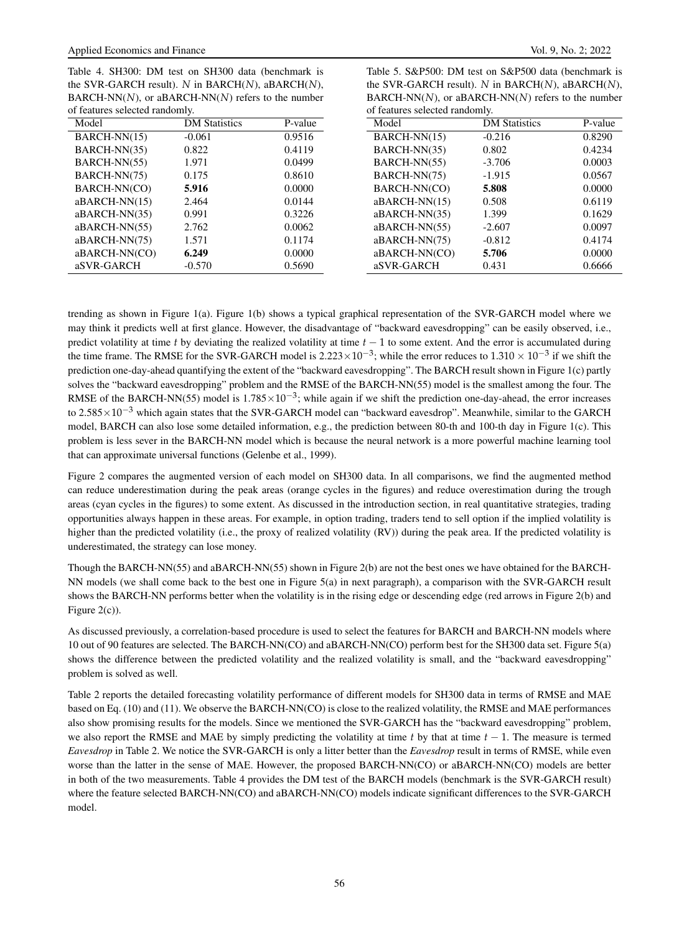Table 4. SH300: DM test on SH300 data (benchmark is the SVR-GARCH result). *N* in BARCH(*N*), aBARCH(*N*), BARCH-NN(*N*), or aBARCH-NN(*N*) refers to the number of features selected randomly. Model **DM Statistics** P-value

|                                | the SVR-GARCH result). N in BARCH(N), aBARCH(N),        |         |  |  |
|--------------------------------|---------------------------------------------------------|---------|--|--|
|                                | $BARCH-NN(N)$ , or aBARCH-NN $(N)$ refers to the number |         |  |  |
| of features selected randomly. |                                                         |         |  |  |
| Model                          | <b>DM</b> Statistics                                    | P-value |  |  |
| $BARCH-NN(15)$                 | $-0.216$                                                | 0.8290  |  |  |
| BARCH-NN(35)                   | 0.802                                                   | 0.4234  |  |  |

Table 5. S&P500: DM test on S&P500 data (benchmark is

| .               | 2211 Outbut- | .      | .               | 2211 0.000.000 | .      |
|-----------------|--------------|--------|-----------------|----------------|--------|
| $BARCH-NN(15)$  | $-0.061$     | 0.9516 | BARCH-NN(15)    | $-0.216$       | 0.8290 |
| BARCH-NN(35)    | 0.822        | 0.4119 | BARCH-NN(35)    | 0.802          | 0.4234 |
| BARCH-NN(55)    | 1.971        | 0.0499 | BARCH-NN(55)    | $-3.706$       | 0.0003 |
| BARCH-NN(75)    | 0.175        | 0.8610 | BARCH-NN(75)    | $-1.915$       | 0.0567 |
| BARCH-NN(CO)    | 5.916        | 0.0000 | BARCH-NN(CO)    | 5.808          | 0.0000 |
| $aBARCH-NN(15)$ | 2.464        | 0.0144 | $aBARCH-NN(15)$ | 0.508          | 0.6119 |
| aBARCH-NN(35)   | 0.991        | 0.3226 | aBARCH-NN(35)   | 1.399          | 0.1629 |
| $aBARCH-NN(55)$ | 2.762        | 0.0062 | aBARCH-NN(55)   | $-2.607$       | 0.0097 |
| aBARCH-NN(75)   | 1.571        | 0.1174 | aBARCH-NN(75)   | $-0.812$       | 0.4174 |
| aBARCH-NN(CO)   | 6.249        | 0.0000 | aBARCH-NN(CO)   | 5.706          | 0.0000 |
| aSVR-GARCH      | $-0.570$     | 0.5690 | aSVR-GARCH      | 0.431          | 0.6666 |
|                 |              |        |                 |                |        |

trending as shown in Figure 1(a). Figure 1(b) shows a typical graphical representation of the SVR-GARCH model where we may think it predicts well at first glance. However, the disadvantage of "backward eavesdropping" can be easily observed, i.e., predict volatility at time *t* by deviating the realized volatility at time *t* − 1 to some extent. And the error is accumulated during the time frame. The RMSE for the SVR-GARCH model is  $2.223 \times 10^{-3}$ ; while the error reduces to  $1.310 \times 10^{-3}$  if we shift the prediction one-day-ahead quantifying the extent of the "backward eavesdropping". The BARCH result shown in Figure 1(c) partly solves the "backward eavesdropping" problem and the RMSE of the BARCH-NN(55) model is the smallest among the four. The RMSE of the BARCH-NN(55) model is  $1.785 \times 10^{-3}$ ; while again if we shift the prediction one-day-ahead, the error increases to 2.585 $\times$ 10<sup>-3</sup> which again states that the SVR-GARCH model can "backward eavesdrop". Meanwhile, similar to the GARCH model, BARCH can also lose some detailed information, e.g., the prediction between 80-th and 100-th day in Figure 1(c). This problem is less sever in the BARCH-NN model which is because the neural network is a more powerful machine learning tool that can approximate universal functions (Gelenbe et al., 1999).

Figure 2 compares the augmented version of each model on SH300 data. In all comparisons, we find the augmented method can reduce underestimation during the peak areas (orange cycles in the figures) and reduce overestimation during the trough areas (cyan cycles in the figures) to some extent. As discussed in the introduction section, in real quantitative strategies, trading opportunities always happen in these areas. For example, in option trading, traders tend to sell option if the implied volatility is higher than the predicted volatility (i.e., the proxy of realized volatility (RV)) during the peak area. If the predicted volatility is underestimated, the strategy can lose money.

Though the BARCH-NN(55) and aBARCH-NN(55) shown in Figure 2(b) are not the best ones we have obtained for the BARCH-NN models (we shall come back to the best one in Figure 5(a) in next paragraph), a comparison with the SVR-GARCH result shows the BARCH-NN performs better when the volatility is in the rising edge or descending edge (red arrows in Figure 2(b) and Figure 2(c)).

As discussed previously, a correlation-based procedure is used to select the features for BARCH and BARCH-NN models where 10 out of 90 features are selected. The BARCH-NN(CO) and aBARCH-NN(CO) perform best for the SH300 data set. Figure 5(a) shows the difference between the predicted volatility and the realized volatility is small, and the "backward eavesdropping" problem is solved as well.

Table 2 reports the detailed forecasting volatility performance of different models for SH300 data in terms of RMSE and MAE based on Eq. (10) and (11). We observe the BARCH-NN(CO) is close to the realized volatility, the RMSE and MAE performances also show promising results for the models. Since we mentioned the SVR-GARCH has the "backward eavesdropping" problem, we also report the RMSE and MAE by simply predicting the volatility at time *t* by that at time *t* − 1. The measure is termed *Eavesdrop* in Table 2. We notice the SVR-GARCH is only a litter better than the *Eavesdrop* result in terms of RMSE, while even worse than the latter in the sense of MAE. However, the proposed BARCH-NN(CO) or aBARCH-NN(CO) models are better in both of the two measurements. Table 4 provides the DM test of the BARCH models (benchmark is the SVR-GARCH result) where the feature selected BARCH-NN(CO) and aBARCH-NN(CO) models indicate significant differences to the SVR-GARCH model.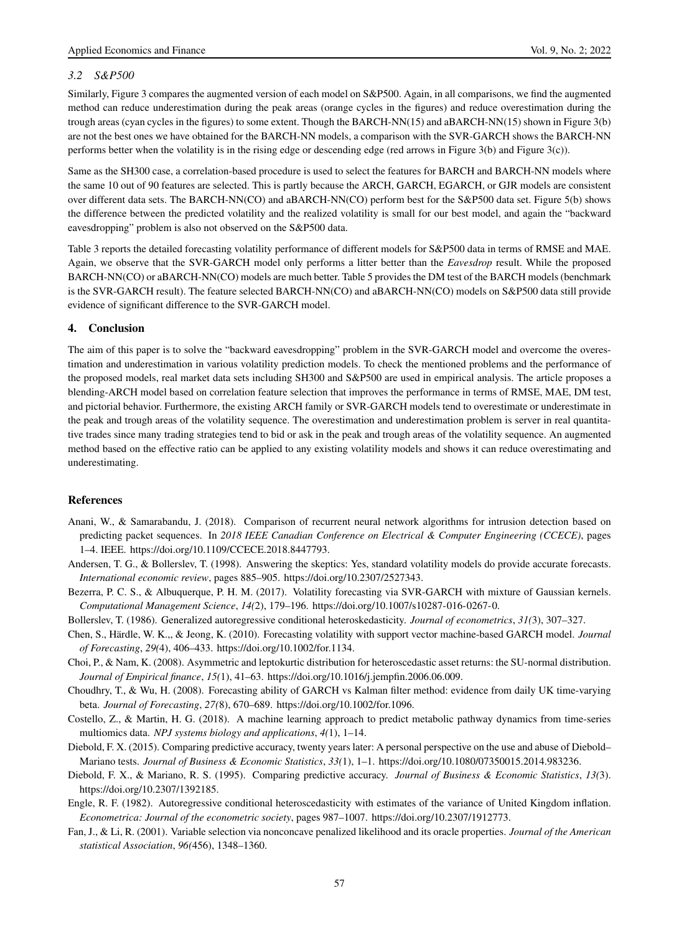# *3.2 S&P500*

Similarly, Figure 3 compares the augmented version of each model on S&P500. Again, in all comparisons, we find the augmented method can reduce underestimation during the peak areas (orange cycles in the figures) and reduce overestimation during the trough areas (cyan cycles in the figures) to some extent. Though the BARCH-NN(15) and aBARCH-NN(15) shown in Figure 3(b) are not the best ones we have obtained for the BARCH-NN models, a comparison with the SVR-GARCH shows the BARCH-NN performs better when the volatility is in the rising edge or descending edge (red arrows in Figure 3(b) and Figure 3(c)).

Same as the SH300 case, a correlation-based procedure is used to select the features for BARCH and BARCH-NN models where the same 10 out of 90 features are selected. This is partly because the ARCH, GARCH, EGARCH, or GJR models are consistent over different data sets. The BARCH-NN(CO) and aBARCH-NN(CO) perform best for the S&P500 data set. Figure 5(b) shows the difference between the predicted volatility and the realized volatility is small for our best model, and again the "backward eavesdropping" problem is also not observed on the S&P500 data.

Table 3 reports the detailed forecasting volatility performance of different models for S&P500 data in terms of RMSE and MAE. Again, we observe that the SVR-GARCH model only performs a litter better than the *Eavesdrop* result. While the proposed BARCH-NN(CO) or aBARCH-NN(CO) models are much better. Table 5 provides the DM test of the BARCH models (benchmark is the SVR-GARCH result). The feature selected BARCH-NN(CO) and aBARCH-NN(CO) models on S&P500 data still provide evidence of significant difference to the SVR-GARCH model.

# 4. Conclusion

The aim of this paper is to solve the "backward eavesdropping" problem in the SVR-GARCH model and overcome the overestimation and underestimation in various volatility prediction models. To check the mentioned problems and the performance of the proposed models, real market data sets including SH300 and S&P500 are used in empirical analysis. The article proposes a blending-ARCH model based on correlation feature selection that improves the performance in terms of RMSE, MAE, DM test, and pictorial behavior. Furthermore, the existing ARCH family or SVR-GARCH models tend to overestimate or underestimate in the peak and trough areas of the volatility sequence. The overestimation and underestimation problem is server in real quantitative trades since many trading strategies tend to bid or ask in the peak and trough areas of the volatility sequence. An augmented method based on the effective ratio can be applied to any existing volatility models and shows it can reduce overestimating and underestimating.

## References

- Anani, W., & Samarabandu, J. (2018). Comparison of recurrent neural network algorithms for intrusion detection based on predicting packet sequences. In *2018 IEEE Canadian Conference on Electrical & Computer Engineering (CCECE)*, pages 1–4. IEEE. https://doi.org/10.1109/CCECE.2018.8447793.
- Andersen, T. G., & Bollerslev, T. (1998). Answering the skeptics: Yes, standard volatility models do provide accurate forecasts. *International economic review*, pages 885–905. https://doi.org/10.2307/2527343.
- Bezerra, P. C. S., & Albuquerque, P. H. M. (2017). Volatility forecasting via SVR-GARCH with mixture of Gaussian kernels. *Computational Management Science*, *14(*2), 179–196. https://doi.org/10.1007/s10287-016-0267-0.
- Bollerslev, T. (1986). Generalized autoregressive conditional heteroskedasticity. *Journal of econometrics*, *31(*3), 307–327.
- Chen, S., Härdle, W. K.,, & Jeong, K. (2010). Forecasting volatility with support vector machine-based GARCH model. *Journal of Forecasting*, *29(*4), 406–433. https://doi.org/10.1002/for.1134.
- Choi, P., & Nam, K. (2008). Asymmetric and leptokurtic distribution for heteroscedastic asset returns: the SU-normal distribution. *Journal of Empirical finance*, *15(*1), 41–63. https://doi.org/10.1016/j.jempfin.2006.06.009.
- Choudhry, T., & Wu, H. (2008). Forecasting ability of GARCH vs Kalman filter method: evidence from daily UK time-varying beta. *Journal of Forecasting*, *27(*8), 670–689. https://doi.org/10.1002/for.1096.
- Costello, Z., & Martin, H. G. (2018). A machine learning approach to predict metabolic pathway dynamics from time-series multiomics data. *NPJ systems biology and applications*, *4(*1), 1–14.
- Diebold, F. X. (2015). Comparing predictive accuracy, twenty years later: A personal perspective on the use and abuse of Diebold– Mariano tests. *Journal of Business & Economic Statistics*, *33(*1), 1–1. https://doi.org/10.1080/07350015.2014.983236.
- Diebold, F. X., & Mariano, R. S. (1995). Comparing predictive accuracy. *Journal of Business & Economic Statistics*, *13(*3). https://doi.org/10.2307/1392185.
- Engle, R. F. (1982). Autoregressive conditional heteroscedasticity with estimates of the variance of United Kingdom inflation. *Econometrica: Journal of the econometric society*, pages 987–1007. https://doi.org/10.2307/1912773.
- Fan, J., & Li, R. (2001). Variable selection via nonconcave penalized likelihood and its oracle properties. *Journal of the American statistical Association*, *96(*456), 1348–1360.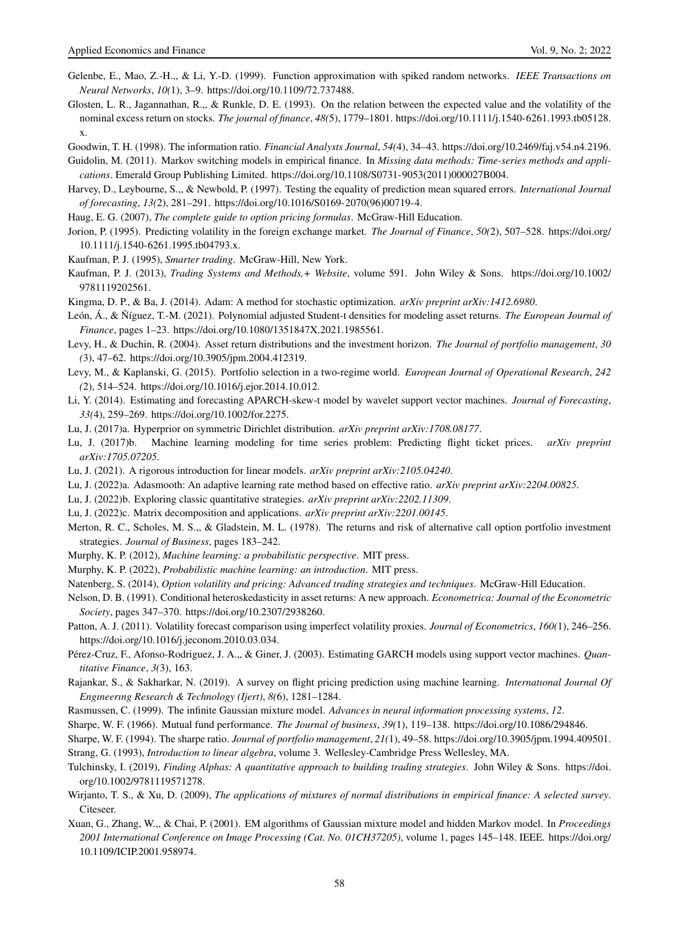- Gelenbe, E., Mao, Z.-H.,, & Li, Y.-D. (1999). Function approximation with spiked random networks. *IEEE Transactions on Neural Networks*, *10(*1), 3–9. https://doi.org/10.1109/72.737488.
- Glosten, L. R., Jagannathan, R.,, & Runkle, D. E. (1993). On the relation between the expected value and the volatility of the nominal excess return on stocks. *The journal of finance*, *48(*5), 1779–1801. https://doi.org/10.1111/j.1540-6261.1993.tb05128. x.

Goodwin, T. H. (1998). The information ratio. *Financial Analysts Journal*, *54(*4), 34–43. https://doi.org/10.2469/faj.v54.n4.2196.

Guidolin, M. (2011). Markov switching models in empirical finance. In *Missing data methods: Time-series methods and applications*. Emerald Group Publishing Limited. https://doi.org/10.1108/S0731-9053(2011)000027B004.

- Harvey, D., Leybourne, S.,, & Newbold, P. (1997). Testing the equality of prediction mean squared errors. *International Journal of forecasting*, *13(*2), 281–291. https://doi.org/10.1016/S0169-2070(96)00719-4.
- Haug, E. G. (2007), *The complete guide to option pricing formulas*. McGraw-Hill Education.
- Jorion, P. (1995). Predicting volatility in the foreign exchange market. *The Journal of Finance*, *50(*2), 507–528. https://doi.org/ 10.1111/j.1540-6261.1995.tb04793.x.
- Kaufman, P. J. (1995), *Smarter trading*. McGraw-Hill, New York.
- Kaufman, P. J. (2013), *Trading Systems and Methods,+ Website*, volume 591. John Wiley & Sons. https://doi.org/10.1002/ 9781119202561.
- Kingma, D. P., & Ba, J. (2014). Adam: A method for stochastic optimization. *arXiv preprint arXiv:1412.6980*.
- León, Á., & Ñíguez, T.-M. (2021). Polynomial adjusted Student-t densities for modeling asset returns. *The European Journal of Finance*, pages 1–23. https://doi.org/10.1080/1351847X.2021.1985561.
- Levy, H., & Duchin, R. (2004). Asset return distributions and the investment horizon. *The Journal of portfolio management*, *30 (*3), 47–62. https://doi.org/10.3905/jpm.2004.412319.
- Levy, M., & Kaplanski, G. (2015). Portfolio selection in a two-regime world. *European Journal of Operational Research*, *242 (*2), 514–524. https://doi.org/10.1016/j.ejor.2014.10.012.
- Li, Y. (2014). Estimating and forecasting APARCH-skew-t model by wavelet support vector machines. *Journal of Forecasting*, *33(*4), 259–269. https://doi.org/10.1002/for.2275.
- Lu, J. (2017)a. Hyperprior on symmetric Dirichlet distribution. *arXiv preprint arXiv:1708.08177*.
- Lu, J. (2017)b. Machine learning modeling for time series problem: Predicting flight ticket prices. *arXiv preprint arXiv:1705.07205*.
- Lu, J. (2021). A rigorous introduction for linear models. *arXiv preprint arXiv:2105.04240*.
- Lu, J. (2022)a. Adasmooth: An adaptive learning rate method based on effective ratio. *arXiv preprint arXiv:2204.00825*.
- Lu, J. (2022)b. Exploring classic quantitative strategies. *arXiv preprint arXiv:2202.11309*.
- Lu, J. (2022)c. Matrix decomposition and applications. *arXiv preprint arXiv:2201.00145*.
- Merton, R. C., Scholes, M. S.,, & Gladstein, M. L. (1978). The returns and risk of alternative call option portfolio investment strategies. *Journal of Business*, pages 183–242.
- Murphy, K. P. (2012), *Machine learning: a probabilistic perspective*. MIT press.
- Murphy, K. P. (2022), *Probabilistic machine learning: an introduction*. MIT press.
- Natenberg, S. (2014), *Option volatility and pricing: Advanced trading strategies and techniques*. McGraw-Hill Education.
- Nelson, D. B. (1991). Conditional heteroskedasticity in asset returns: A new approach. *Econometrica: Journal of the Econometric Society*, pages 347–370. https://doi.org/10.2307/2938260.
- Patton, A. J. (2011). Volatility forecast comparison using imperfect volatility proxies. *Journal of Econometrics*, *160(*1), 246–256. https://doi.org/10.1016/j.jeconom.2010.03.034.
- Pérez-Cruz, F., Afonso-Rodriguez, J. A.,, & Giner, J. (2003). Estimating GARCH models using support vector machines. *Quantitative Finance*, *3(*3), 163.
- Rajankar, S., & Sakharkar, N. (2019). A survey on flight pricing prediction using machine learning. *Internatıonal Journal Of Engıneerıng Research & Technology (Ijert)*, *8(*6), 1281–1284.
- Rasmussen, C. (1999). The infinite Gaussian mixture model. *Advances in neural information processing systems*, *12*.
- Sharpe, W. F. (1966). Mutual fund performance. *The Journal of business*, *39(*1), 119–138. https://doi.org/10.1086/294846.
- Sharpe, W. F. (1994). The sharpe ratio. *Journal of portfolio management*, *21(*1), 49–58. https://doi.org/10.3905/jpm.1994.409501. Strang, G. (1993), *Introduction to linear algebra*, volume 3. Wellesley-Cambridge Press Wellesley, MA.
- Tulchinsky, I. (2019), *Finding Alphas: A quantitative approach to building trading strategies*. John Wiley & Sons. https://doi. org/10.1002/9781119571278.
- Wirjanto, T. S., & Xu, D. (2009), *The applications of mixtures of normal distributions in empirical finance: A selected survey*. Citeseer.
- Xuan, G., Zhang, W.,, & Chai, P. (2001). EM algorithms of Gaussian mixture model and hidden Markov model. In *Proceedings 2001 International Conference on Image Processing (Cat. No. 01CH37205)*, volume 1, pages 145–148. IEEE. https://doi.org/ 10.1109/ICIP.2001.958974.